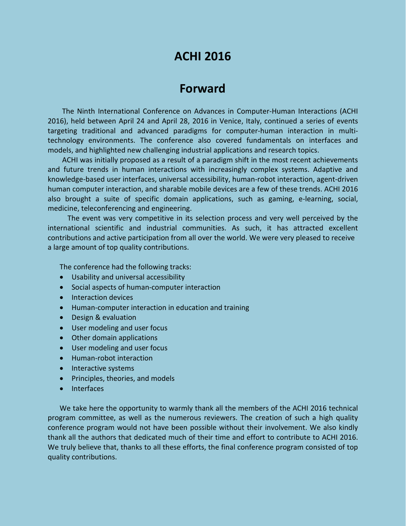## **ACHI 2016**

## **Forward**

The Ninth International Conference on Advances in Computer-Human Interactions (ACHI 2016), held between April 24 and April 28, 2016 in Venice, Italy, continued a series of events targeting traditional and advanced paradigms for computer-human interaction in multitechnology environments. The conference also covered fundamentals on interfaces and models, and highlighted new challenging industrial applications and research topics.

ACHI was initially proposed as a result of a paradigm shift in the most recent achievements and future trends in human interactions with increasingly complex systems. Adaptive and knowledge-based user interfaces, universal accessibility, human-robot interaction, agent-driven human computer interaction, and sharable mobile devices are a few of these trends. ACHI 2016 also brought a suite of specific domain applications, such as gaming, e-learning, social, medicine, teleconferencing and engineering.

The event was very competitive in its selection process and very well perceived by the international scientific and industrial communities. As such, it has attracted excellent contributions and active participation from all over the world. We were very pleased to receive a large amount of top quality contributions.

The conference had the following tracks:

- Usability and universal accessibility
- Social aspects of human-computer interaction
- Interaction devices
- Human-computer interaction in education and training
- Design & evaluation
- User modeling and user focus
- Other domain applications
- User modeling and user focus
- Human-robot interaction
- Interactive systems
- Principles, theories, and models
- · Interfaces

We take here the opportunity to warmly thank all the members of the ACHI 2016 technical program committee, as well as the numerous reviewers. The creation of such a high quality conference program would not have been possible without their involvement. We also kindly thank all the authors that dedicated much of their time and effort to contribute to ACHI 2016. We truly believe that, thanks to all these efforts, the final conference program consisted of top quality contributions.